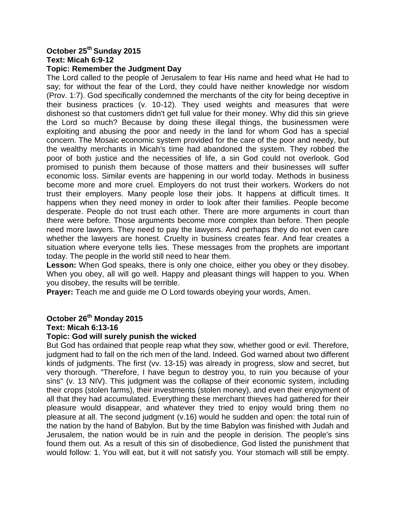# **October 25th Sunday 2015 Text: Micah 6:9-12**

#### **Topic: Remember the Judgment Day**

The Lord called to the people of Jerusalem to fear His name and heed what He had to say; for without the fear of the Lord, they could have neither knowledge nor wisdom (Prov. 1:7). God specifically condemned the merchants of the city for being deceptive in their business practices (v. 10-12). They used weights and measures that were dishonest so that customers didn't get full value for their money. Why did this sin grieve the Lord so much? Because by doing these illegal things, the businessmen were exploiting and abusing the poor and needy in the land for whom God has a special concern. The Mosaic economic system provided for the care of the poor and needy, but the wealthy merchants in Micah's time had abandoned the system. They robbed the poor of both justice and the necessities of life, a sin God could not overlook. God promised to punish them because of those matters and their businesses will suffer economic loss. Similar events are happening in our world today. Methods in business become more and more cruel. Employers do not trust their workers. Workers do not trust their employers. Many people lose their jobs. It happens at difficult times. It happens when they need money in order to look after their families. People become desperate. People do not trust each other. There are more arguments in court than there were before. Those arguments become more complex than before. Then people need more lawyers. They need to pay the lawyers. And perhaps they do not even care whether the lawyers are honest. Cruelty in business creates fear. And fear creates a situation where everyone tells lies. These messages from the prophets are important today. The people in the world still need to hear them.

**Lesson:** When God speaks, there is only one choice, either you obey or they disobey. When you obey, all will go well. Happy and pleasant things will happen to you. When you disobey, the results will be terrible.

**Prayer:** Teach me and guide me O Lord towards obeying your words, Amen.

# **October 26th Monday 2015**

#### **Text: Micah 6:13-16**

#### **Topic: God will surely punish the wicked**

But God has ordained that people reap what they sow, whether good or evil. Therefore, judgment had to fall on the rich men of the land. Indeed. God warned about two different kinds of judgments. The first (vv. 13-15) was already in progress, slow and secret, but very thorough. "Therefore, I have begun to destroy you, to ruin you because of your sins" (v. 13 NIV). This judgment was the collapse of their economic system, including their crops (stolen farms), their investments (stolen money), and even their enjoyment of all that they had accumulated. Everything these merchant thieves had gathered for their pleasure would disappear, and whatever they tried to enjoy would bring them no pleasure at all. The second judgment (v.16) would he sudden and open: the total ruin of the nation by the hand of Babylon. But by the time Babylon was finished with Judah and Jerusalem, the nation would be in ruin and the people in derision. The people's sins found them out. As a result of this sin of disobedience, God listed the punishment that would follow: 1. You will eat, but it will not satisfy you. Your stomach will still be empty.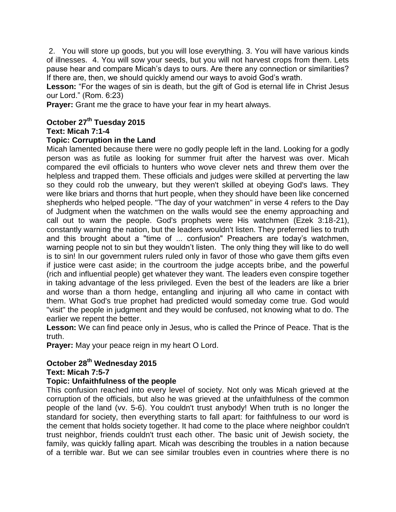2. You will store up goods, but you will lose everything. 3. You will have various kinds of illnesses. 4. You will sow your seeds, but you will not harvest crops from them. Lets pause hear and compare Micah's days to ours. Are there any connection or similarities? If there are, then, we should quickly amend our ways to avoid God's wrath.

Lesson: "For the wages of sin is death, but the gift of God is eternal life in Christ Jesus our Lord." (Rom. 6:23)

**Prayer:** Grant me the grace to have your fear in my heart always.

# **October 27th Tuesday 2015**

### **Text: Micah 7:1-4**

## **Topic: Corruption in the Land**

Micah lamented because there were no godly people left in the land. Looking for a godly person was as futile as looking for summer fruit after the harvest was over. Micah compared the evil officials to hunters who wove clever nets and threw them over the helpless and trapped them. These officials and judges were skilled at perverting the law so they could rob the unweary, but they weren't skilled at obeying God's laws. They were like briars and thorns that hurt people, when they should have been like concerned shepherds who helped people. "The day of your watchmen" in verse 4 refers to the Day of Judgment when the watchmen on the walls would see the enemy approaching and call out to warn the people. God's prophets were His watchmen (Ezek 3:18-21), constantly warning the nation, but the leaders wouldn't listen. They preferred lies to truth and this brought about a "time of ... confusion" Preachers are today's watchmen, warning people not to sin but they wouldn't listen. The only thing they will like to do well is to sin! In our government rulers ruled only in favor of those who gave them gifts even if justice were cast aside; in the courtroom the judge accepts bribe, and the powerful (rich and influential people) get whatever they want. The leaders even conspire together in taking advantage of the less privileged. Even the best of the leaders are like a brier and worse than a thorn hedge, entangling and injuring all who came in contact with them. What God's true prophet had predicted would someday come true. God would "visit" the people in judgment and they would be confused, not knowing what to do. The earlier we repent the better.

**Lesson:** We can find peace only in Jesus, who is called the Prince of Peace. That is the truth.

**Prayer:** May your peace reign in my heart O Lord.

#### **October 28th Wednesday 2015 Text: Micah 7:5-7**

## **Topic: Unfaithfulness of the people**

This confusion reached into every level of society. Not only was Micah grieved at the corruption of the officials, but also he was grieved at the unfaithfulness of the common people of the land (vv. 5-6). You couldn't trust anybody! When truth is no longer the standard for society, then everything starts to fall apart: for faithfulness to our word is the cement that holds society together. It had come to the place where neighbor couldn't trust neighbor, friends couldn't trust each other. The basic unit of Jewish society, the family, was quickly falling apart. Micah was describing the troubles in a nation because of a terrible war. But we can see similar troubles even in countries where there is no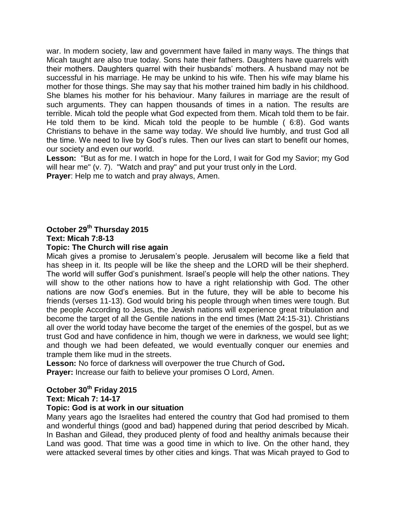war. In modern society, law and government have failed in many ways. The things that Micah taught are also true today. Sons hate their fathers. Daughters have quarrels with their mothers. Daughters quarrel with their husbands' mothers. A husband may not be successful in his marriage. He may be unkind to his wife. Then his wife may blame his mother for those things. She may say that his mother trained him badly in his childhood. She blames his mother for his behaviour. Many failures in marriage are the result of such arguments. They can happen thousands of times in a nation. The results are terrible. Micah told the people what God expected from them. Micah told them to be fair. He told them to be kind. Micah told the people to be humble ( 6:8). God wants Christians to behave in the same way today. We should live humbly, and trust God all the time. We need to live by God's rules. Then our lives can start to benefit our homes, our society and even our world.

**Lesson:** "But as for me. I watch in hope for the Lord, I wait for God my Savior; my God will hear me" (v. 7). "Watch and pray" and put your trust only in the Lord. **Prayer**: Help me to watch and pray always, Amen.

# **October 29th Thursday 2015 Text: Micah 7:8-13**

### **Topic: The Church will rise again**

Micah gives a promise to Jerusalem's people. Jerusalem will become like a field that has sheep in it. Its people will be like the sheep and the LORD will be their shepherd. The world will suffer God's punishment. Israel's people will help the other nations. They will show to the other nations how to have a right relationship with God. The other nations are now God's enemies. But in the future, they will be able to become his friends (verses 11-13). God would bring his people through when times were tough. But the people According to Jesus, the Jewish nations will experience great tribulation and become the target of all the Gentile nations in the end times (Matt 24:15-31). Christians all over the world today have become the target of the enemies of the gospel, but as we trust God and have confidence in him, though we were in darkness, we would see light; and though we had been defeated, we would eventually conquer our enemies and trample them like mud in the streets.

**Lesson:** No force of darkness will overpower the true Church of God**. Prayer:** Increase our faith to believe your promises O Lord, Amen.

## **October 30th Friday 2015**

**Text: Micah 7: 14-17**

#### **Topic: God is at work in our situation**

Many years ago the Israelites had entered the country that God had promised to them and wonderful things (good and bad) happened during that period described by Micah. In Bashan and Gilead, they produced plenty of food and healthy animals because their Land was good. That time was a good time in which to live. On the other hand, they were attacked several times by other cities and kings. That was Micah prayed to God to